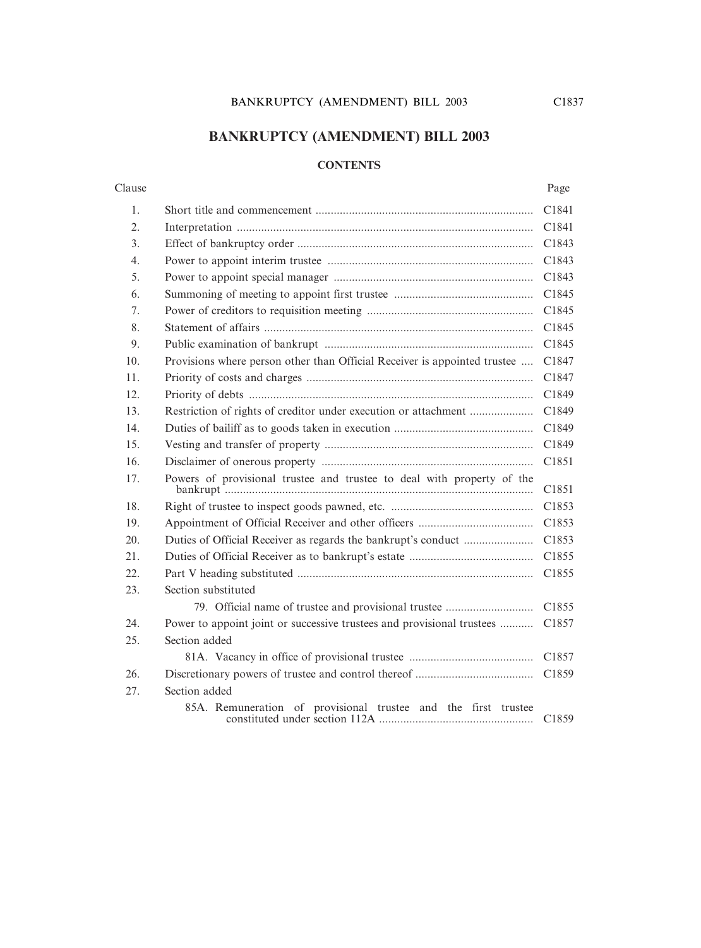# **BANKRUPTCY (AMENDMENT) BILL 2003**

#### **CONTENTS**

#### Clause Page

| 1.  |                                                                           | C1841             |
|-----|---------------------------------------------------------------------------|-------------------|
| 2.  |                                                                           | C1841             |
| 3.  |                                                                           | C1843             |
| 4.  |                                                                           | C1843             |
| 5.  |                                                                           | C1843             |
| 6.  |                                                                           | C1845             |
| 7.  |                                                                           | C1845             |
| 8.  |                                                                           | C1845             |
| 9.  |                                                                           | C1845             |
| 10. | Provisions where person other than Official Receiver is appointed trustee | C1847             |
| 11. |                                                                           | C1847             |
| 12. |                                                                           | C1849             |
| 13. |                                                                           | C1849             |
| 14. |                                                                           | C1849             |
| 15. |                                                                           | C1849             |
| 16. |                                                                           | C1851             |
| 17. | Powers of provisional trustee and trustee to deal with property of the    | C1851             |
| 18. |                                                                           | C1853             |
| 19. |                                                                           | C1853             |
| 20. | Duties of Official Receiver as regards the bankrupt's conduct             | C1853             |
| 21. |                                                                           | C1855             |
| 22. |                                                                           | C1855             |
| 23. | Section substituted                                                       |                   |
|     | 79. Official name of trustee and provisional trustee                      | C1855             |
| 24. | Power to appoint joint or successive trustees and provisional trustees    | C1857             |
| 25. | Section added                                                             |                   |
|     |                                                                           | C1857             |
| 26. |                                                                           | C1859             |
| 27. | Section added                                                             |                   |
|     | 85A. Remuneration of provisional trustee and the first trustee            | C <sub>1859</sub> |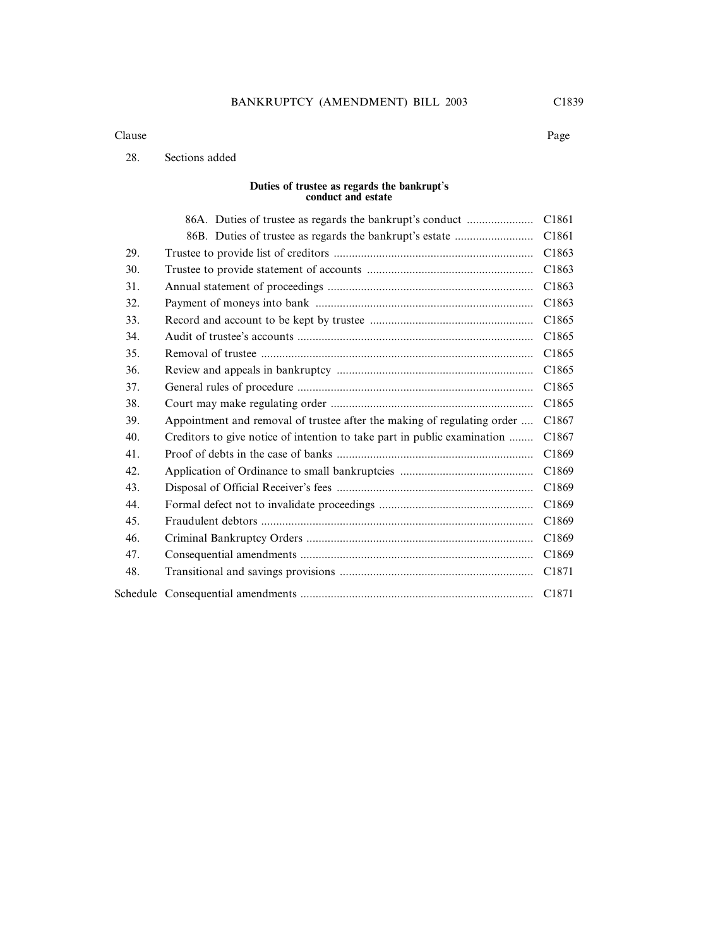#### Clause Page

#### 28. Sections added

#### **Duties of trustee as regards the bankrupt**'**s conduct and estate**

|     | 86A. Duties of trustee as regards the bankrupt's conduct                 | C1861 |
|-----|--------------------------------------------------------------------------|-------|
|     |                                                                          | C1861 |
| 29. |                                                                          | C1863 |
| 30. |                                                                          | C1863 |
| 31. |                                                                          | C1863 |
| 32. |                                                                          | C1863 |
| 33. |                                                                          | C1865 |
| 34. |                                                                          | C1865 |
| 35. |                                                                          | C1865 |
| 36. |                                                                          | C1865 |
| 37. |                                                                          | C1865 |
| 38. |                                                                          | C1865 |
| 39. | Appointment and removal of trustee after the making of regulating order  | C1867 |
| 40. | Creditors to give notice of intention to take part in public examination | C1867 |
| 41. |                                                                          | C1869 |
| 42. |                                                                          | C1869 |
| 43. |                                                                          | C1869 |
| 44. |                                                                          | C1869 |
| 45. |                                                                          | C1869 |
| 46. |                                                                          | C1869 |
| 47. |                                                                          | C1869 |
| 48. |                                                                          | C1871 |
|     |                                                                          | C1871 |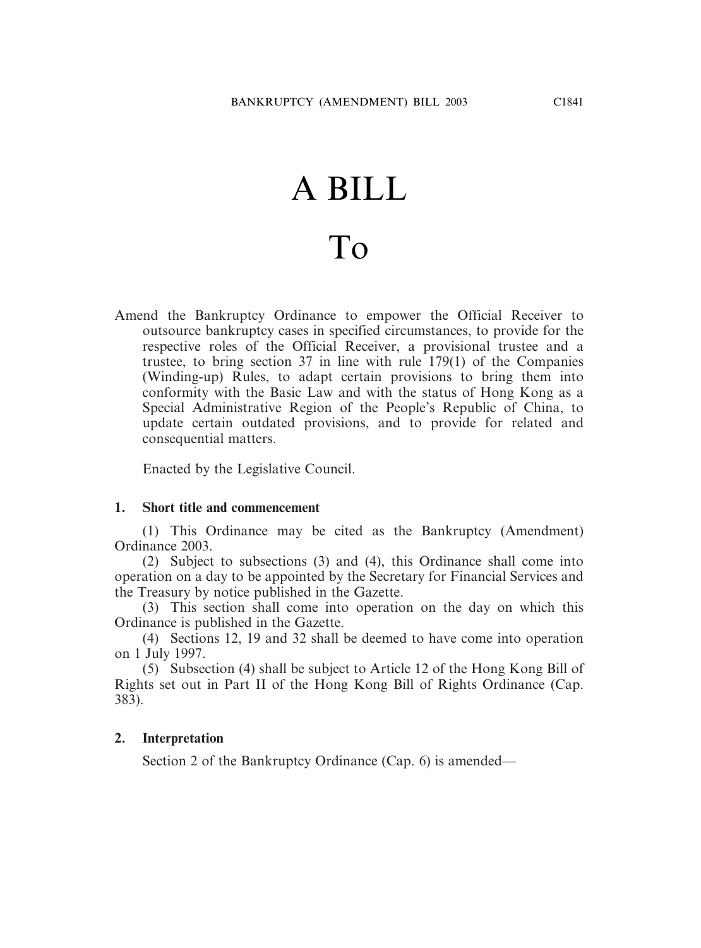# A BILL To

Amend the Bankruptcy Ordinance to empower the Official Receiver to outsource bankruptcy cases in specified circumstances, to provide for the respective roles of the Official Receiver, a provisional trustee and a trustee, to bring section 37 in line with rule 179(1) of the Companies (Winding-up) Rules, to adapt certain provisions to bring them into conformity with the Basic Law and with the status of Hong Kong as a Special Administrative Region of the People's Republic of China, to update certain outdated provisions, and to provide for related and consequential matters.

Enacted by the Legislative Council.

#### **1. Short title and commencement**

(1) This Ordinance may be cited as the Bankruptcy (Amendment) Ordinance 2003.

(2) Subject to subsections (3) and (4), this Ordinance shall come into operation on a day to be appointed by the Secretary for Financial Services and the Treasury by notice published in the Gazette.

(3) This section shall come into operation on the day on which this Ordinance is published in the Gazette.

(4) Sections 12, 19 and 32 shall be deemed to have come into operation on 1 July 1997.

(5) Subsection (4) shall be subject to Article 12 of the Hong Kong Bill of Rights set out in Part II of the Hong Kong Bill of Rights Ordinance (Cap. 383).

#### **2. Interpretation**

Section 2 of the Bankruptcy Ordinance (Cap. 6) is amended—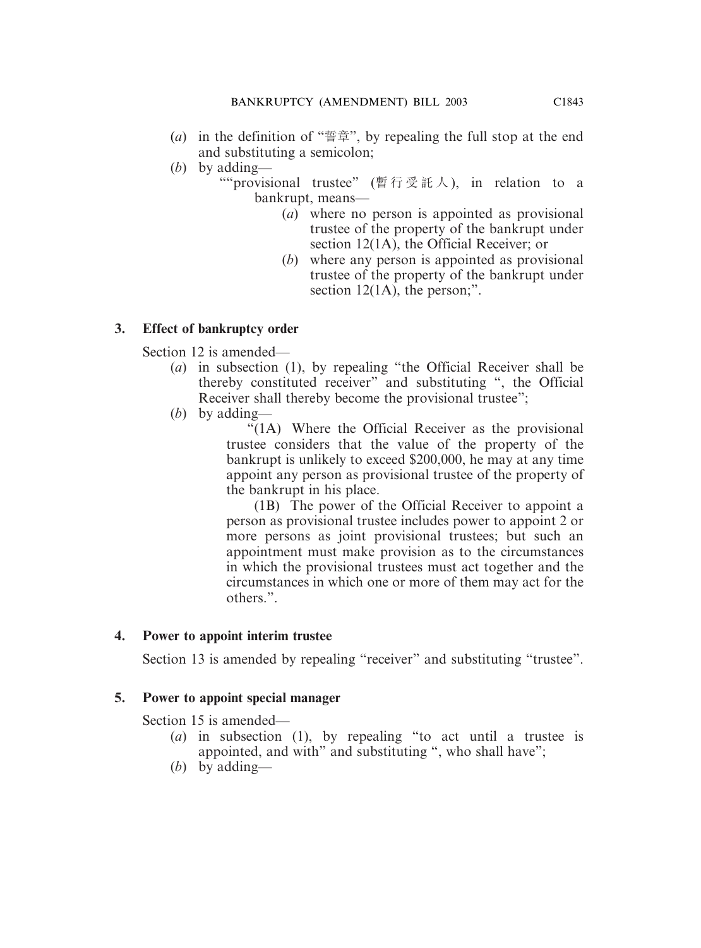- (*a*) in the definition of "誓章", by repealing the full stop at the end and substituting a semicolon;
- (*b*) by adding—

""provisional trustee" (暫行受託人 ), in relation to a bankrupt, means—

- (*a*) where no person is appointed as provisional trustee of the property of the bankrupt under section 12(1A), the Official Receiver; or
- (*b*) where any person is appointed as provisional trustee of the property of the bankrupt under section 12(1A), the person:".

# **3. Effect of bankruptcy order**

Section 12 is amended—

- (*a*) in subsection (1), by repealing "the Official Receiver shall be thereby constituted receiver" and substituting ", the Official Receiver shall thereby become the provisional trustee";
- (*b*) by adding—

"(1A) Where the Official Receiver as the provisional trustee considers that the value of the property of the bankrupt is unlikely to exceed \$200,000, he may at any time appoint any person as provisional trustee of the property of the bankrupt in his place.

(1B) The power of the Official Receiver to appoint a person as provisional trustee includes power to appoint 2 or more persons as joint provisional trustees; but such an appointment must make provision as to the circumstances in which the provisional trustees must act together and the circumstances in which one or more of them may act for the others.".

# **4. Power to appoint interim trustee**

Section 13 is amended by repealing "receiver" and substituting "trustee".

# **5. Power to appoint special manager**

Section 15 is amended—

- (*a*) in subsection (1), by repealing "to act until a trustee is appointed, and with" and substituting ", who shall have";
- (*b*) by adding—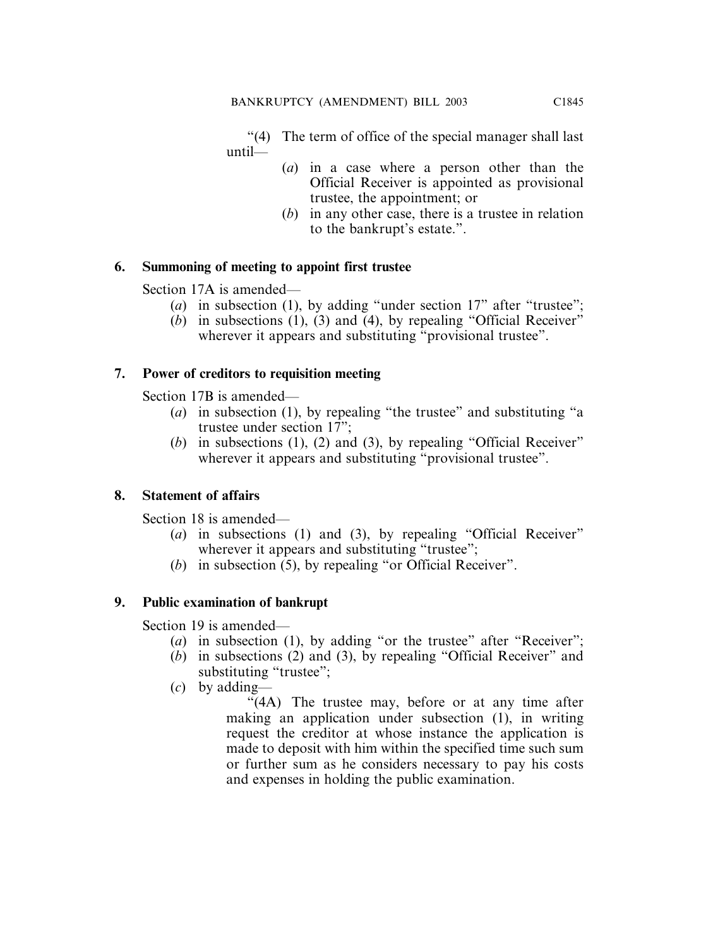"(4) The term of office of the special manager shall last until—

- (*a*) in a case where a person other than the Official Receiver is appointed as provisional trustee, the appointment; or
- (*b*) in any other case, there is a trustee in relation to the bankrupt's estate.".

# **6. Summoning of meeting to appoint first trustee**

Section 17A is amended—

- (*a*) in subsection (1), by adding "under section 17" after "trustee";
- $(b)$  in subsections  $(1)$ ,  $(3)$  and  $(4)$ , by repealing "Official Receiver" wherever it appears and substituting "provisional trustee".

# **7. Power of creditors to requisition meeting**

Section 17B is amended—

- (*a*) in subsection (1), by repealing "the trustee" and substituting "a trustee under section 17";
- (*b*) in subsections (1), (2) and (3), by repealing "Official Receiver" wherever it appears and substituting "provisional trustee".

# **8. Statement of affairs**

Section 18 is amended—

- (*a*) in subsections (1) and (3), by repealing "Official Receiver" wherever it appears and substituting "trustee";
- (*b*) in subsection (5), by repealing "or Official Receiver".

# **9. Public examination of bankrupt**

Section 19 is amended—

- (*a*) in subsection (1), by adding "or the trustee" after "Receiver";
- (*b*) in subsections (2) and (3), by repealing "Official Receiver" and substituting "trustee";
- (*c*) by adding—

"(4A) The trustee may, before or at any time after making an application under subsection (1), in writing request the creditor at whose instance the application is made to deposit with him within the specified time such sum or further sum as he considers necessary to pay his costs and expenses in holding the public examination.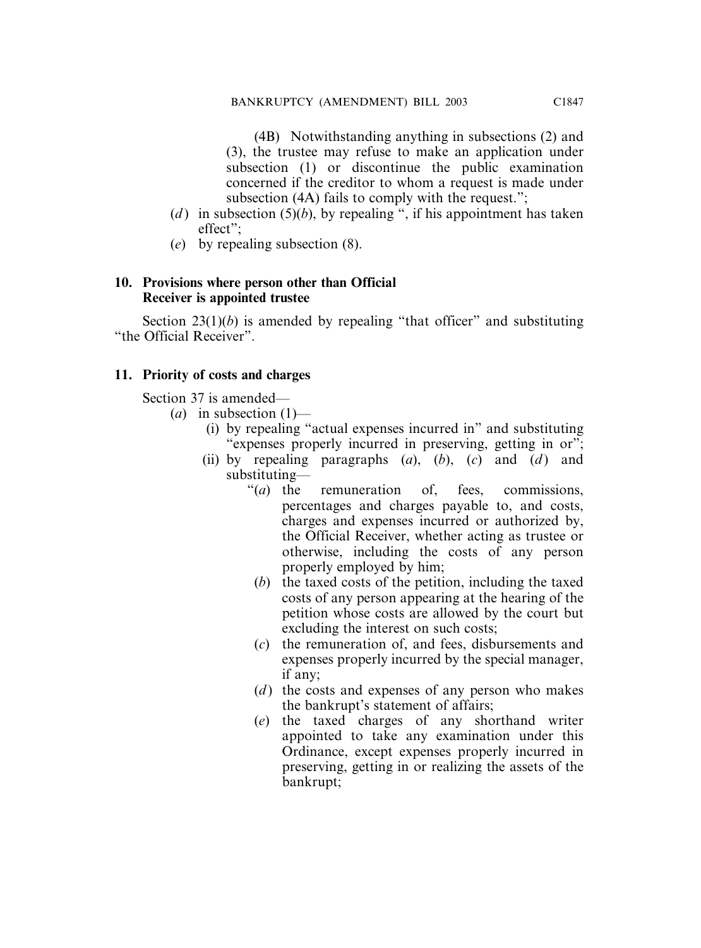(4B) Notwithstanding anything in subsections (2) and (3), the trustee may refuse to make an application under subsection (1) or discontinue the public examination concerned if the creditor to whom a request is made under subsection (4A) fails to comply with the request.";

- (*d*) in subsection (5)(*b*), by repealing ", if his appointment has taken effect";
- (*e*) by repealing subsection (8).

#### **10. Provisions where person other than Official Receiver is appointed trustee**

Section 23(1)(*b*) is amended by repealing "that officer" and substituting "the Official Receiver".

# **11. Priority of costs and charges**

Section 37 is amended—

- $(a)$  in subsection  $(1)$ 
	- (i) by repealing "actual expenses incurred in" and substituting "expenses properly incurred in preserving, getting in or";
	- (ii) by repealing paragraphs  $(a)$ ,  $(b)$ ,  $(c)$  and  $(d)$  and substituting—
		- "(*a*) the remuneration of, fees, commissions, percentages and charges payable to, and costs, charges and expenses incurred or authorized by, the Official Receiver, whether acting as trustee or otherwise, including the costs of any person properly employed by him;
		- (*b*) the taxed costs of the petition, including the taxed costs of any person appearing at the hearing of the petition whose costs are allowed by the court but excluding the interest on such costs;
		- (*c*) the remuneration of, and fees, disbursements and expenses properly incurred by the special manager, if any;
		- (*d*) the costs and expenses of any person who makes the bankrupt's statement of affairs;
		- (*e*) the taxed charges of any shorthand writer appointed to take any examination under this Ordinance, except expenses properly incurred in preserving, getting in or realizing the assets of the bankrupt;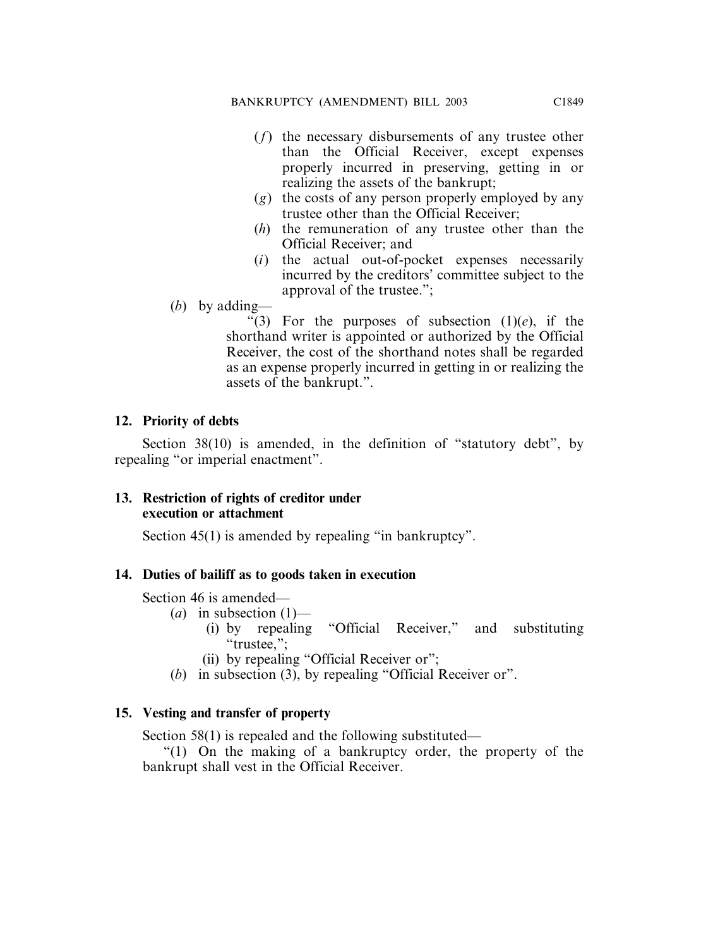- (*f*) the necessary disbursements of any trustee other than the Official Receiver, except expenses properly incurred in preserving, getting in or realizing the assets of the bankrupt;
- (*g*) the costs of any person properly employed by any trustee other than the Official Receiver;
- (*h*) the remuneration of any trustee other than the Official Receiver; and
- (*i*) the actual out-of-pocket expenses necessarily incurred by the creditors' committee subject to the approval of the trustee.";
- (*b*) by adding—

"(3) For the purposes of subsection  $(1)(e)$ , if the shorthand writer is appointed or authorized by the Official Receiver, the cost of the shorthand notes shall be regarded as an expense properly incurred in getting in or realizing the assets of the bankrupt.".

# **12. Priority of debts**

Section 38(10) is amended, in the definition of "statutory debt", by repealing "or imperial enactment".

# **13. Restriction of rights of creditor under execution or attachment**

Section 45(1) is amended by repealing "in bankruptcy".

# **14. Duties of bailiff as to goods taken in execution**

Section 46 is amended—

- (*a*) in subsection  $(1)$ 
	- (i) by repealing "Official Receiver," and substituting "trustee,":
	- (ii) by repealing "Official Receiver or";
- (*b*) in subsection (3), by repealing "Official Receiver or".

# **15. Vesting and transfer of property**

Section 58(1) is repealed and the following substituted—

"(1) On the making of a bankruptcy order, the property of the bankrupt shall vest in the Official Receiver.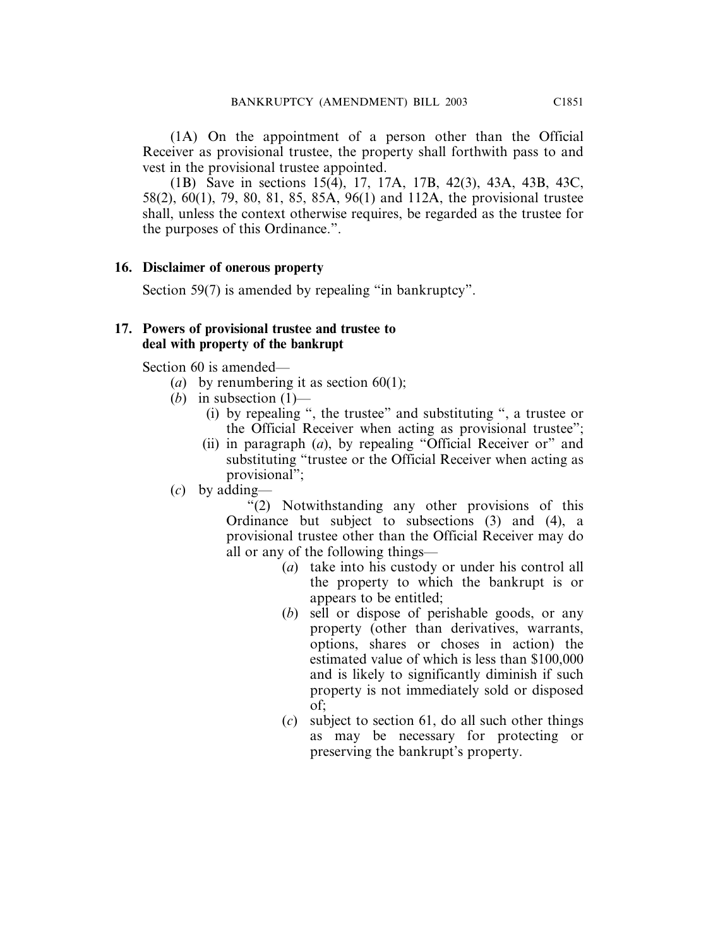(1A) On the appointment of a person other than the Official Receiver as provisional trustee, the property shall forthwith pass to and vest in the provisional trustee appointed.

(1B) Save in sections 15(4), 17, 17A, 17B, 42(3), 43A, 43B, 43C, 58(2), 60(1), 79, 80, 81, 85, 85A, 96(1) and 112A, the provisional trustee shall, unless the context otherwise requires, be regarded as the trustee for the purposes of this Ordinance.".

# **16. Disclaimer of onerous property**

Section 59(7) is amended by repealing "in bankruptcy".

#### **17. Powers of provisional trustee and trustee to deal with property of the bankrupt**

Section 60 is amended—

- (*a*) by renumbering it as section  $60(1)$ ;
- (*b*) in subsection  $(1)$ 
	- (i) by repealing ", the trustee" and substituting ", a trustee or the Official Receiver when acting as provisional trustee";
	- (ii) in paragraph (*a*), by repealing "Official Receiver or" and substituting "trustee or the Official Receiver when acting as provisional";
- (*c*) by adding—

"(2) Notwithstanding any other provisions of this Ordinance but subject to subsections (3) and (4), a provisional trustee other than the Official Receiver may do all or any of the following things—

- (*a*) take into his custody or under his control all the property to which the bankrupt is or appears to be entitled;
- (*b*) sell or dispose of perishable goods, or any property (other than derivatives, warrants, options, shares or choses in action) the estimated value of which is less than \$100,000 and is likely to significantly diminish if such property is not immediately sold or disposed of;
- (*c*) subject to section 61, do all such other things as may be necessary for protecting or preserving the bankrupt's property.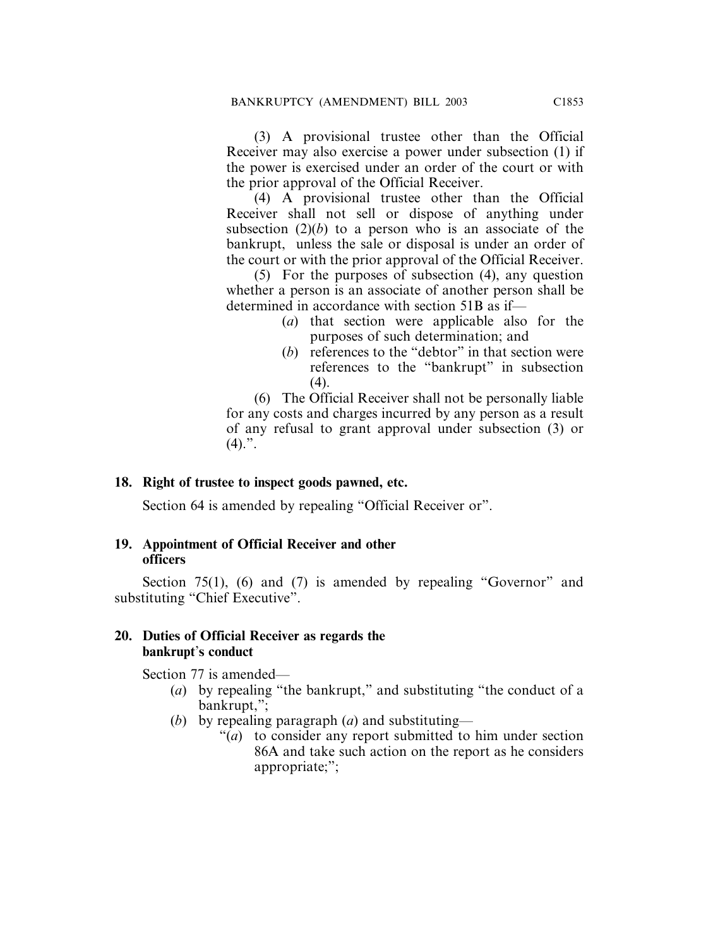(3) A provisional trustee other than the Official Receiver may also exercise a power under subsection (1) if the power is exercised under an order of the court or with the prior approval of the Official Receiver.

(4) A provisional trustee other than the Official Receiver shall not sell or dispose of anything under subsection  $(2)(b)$  to a person who is an associate of the bankrupt, unless the sale or disposal is under an order of the court or with the prior approval of the Official Receiver.

(5) For the purposes of subsection (4), any question whether a person is an associate of another person shall be determined in accordance with section 51B as if—

- (*a*) that section were applicable also for the purposes of such determination; and
- (*b*) references to the "debtor" in that section were references to the "bankrupt" in subsection  $(4)$ .

(6) The Official Receiver shall not be personally liable for any costs and charges incurred by any person as a result of any refusal to grant approval under subsection (3) or  $(4).$ ".

# **18. Right of trustee to inspect goods pawned, etc.**

Section 64 is amended by repealing "Official Receiver or".

# **19. Appointment of Official Receiver and other officers**

Section 75(1), (6) and (7) is amended by repealing "Governor" and substituting "Chief Executive".

# **20. Duties of Official Receiver as regards the bankrupt**'**s conduct**

Section 77 is amended—

- (*a*) by repealing "the bankrupt," and substituting "the conduct of a bankrupt,";
- (*b*) by repealing paragraph (*a*) and substituting—
	- "(*a*) to consider any report submitted to him under section 86A and take such action on the report as he considers appropriate;";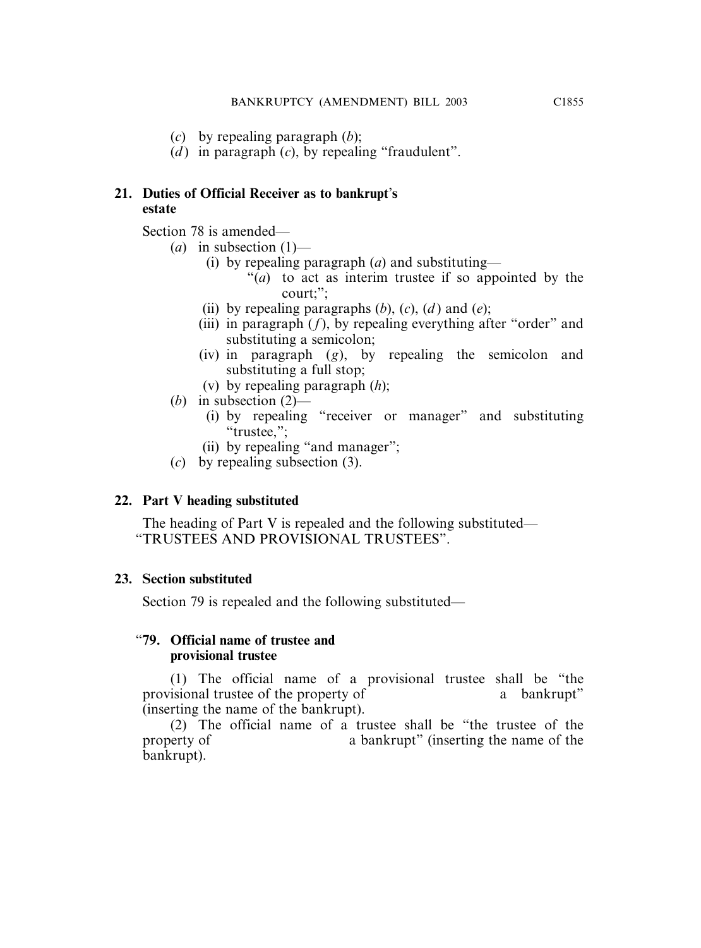- (*c*) by repealing paragraph (*b*);
- $(d)$  in paragraph  $(c)$ , by repealing "fraudulent".

# **21. Duties of Official Receiver as to bankrupt**'**s estate**

Section 78 is amended—

- (*a*) in subsection (1)—
	- (i) by repealing paragraph (*a*) and substituting—
		- "(*a*) to act as interim trustee if so appointed by the court;";
	- (ii) by repealing paragraphs  $(b)$ ,  $(c)$ ,  $(d)$  and  $(e)$ ;
	- (iii) in paragraph  $(f)$ , by repealing everything after "order" and substituting a semicolon;
	- (iv) in paragraph (*g*), by repealing the semicolon and substituting a full stop;
	- (v) by repealing paragraph (*h*);
- (*b*) in subsection (2)—
	- (i) by repealing "receiver or manager" and substituting "trustee,";
	- (ii) by repealing "and manager";
- (*c*) by repealing subsection (3).

# **22. Part V heading substituted**

The heading of Part V is repealed and the following substituted— "TRUSTEES AND PROVISIONAL TRUSTEES".

# **23. Section substituted**

Section 79 is repealed and the following substituted—

# "**79. Official name of trustee and provisional trustee**

(1) The official name of a provisional trustee shall be "the provisional trustee of the property of a bankrupt" (inserting the name of the bankrupt).

(2) The official name of a trustee shall be "the trustee of the property of a bankrupt" (inserting the name of the bankrupt).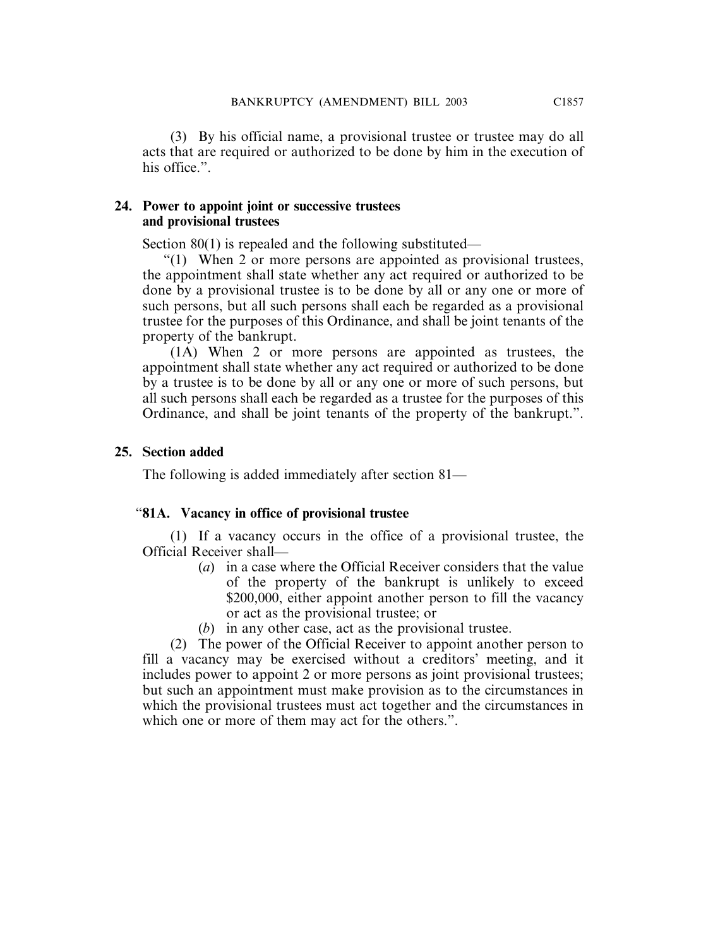(3) By his official name, a provisional trustee or trustee may do all acts that are required or authorized to be done by him in the execution of his office.".

#### **24. Power to appoint joint or successive trustees and provisional trustees**

Section 80(1) is repealed and the following substituted—

"(1) When 2 or more persons are appointed as provisional trustees, the appointment shall state whether any act required or authorized to be done by a provisional trustee is to be done by all or any one or more of such persons, but all such persons shall each be regarded as a provisional trustee for the purposes of this Ordinance, and shall be joint tenants of the property of the bankrupt.

(1A) When 2 or more persons are appointed as trustees, the appointment shall state whether any act required or authorized to be done by a trustee is to be done by all or any one or more of such persons, but all such persons shall each be regarded as a trustee for the purposes of this Ordinance, and shall be joint tenants of the property of the bankrupt.".

# **25. Section added**

The following is added immediately after section 81—

# "**81A. Vacancy in office of provisional trustee**

(1) If a vacancy occurs in the office of a provisional trustee, the Official Receiver shall—

- (*a*) in a case where the Official Receiver considers that the value of the property of the bankrupt is unlikely to exceed \$200,000, either appoint another person to fill the vacancy or act as the provisional trustee; or
- (*b*) in any other case, act as the provisional trustee.

(2) The power of the Official Receiver to appoint another person to fill a vacancy may be exercised without a creditors' meeting, and it includes power to appoint 2 or more persons as joint provisional trustees; but such an appointment must make provision as to the circumstances in which the provisional trustees must act together and the circumstances in which one or more of them may act for the others.".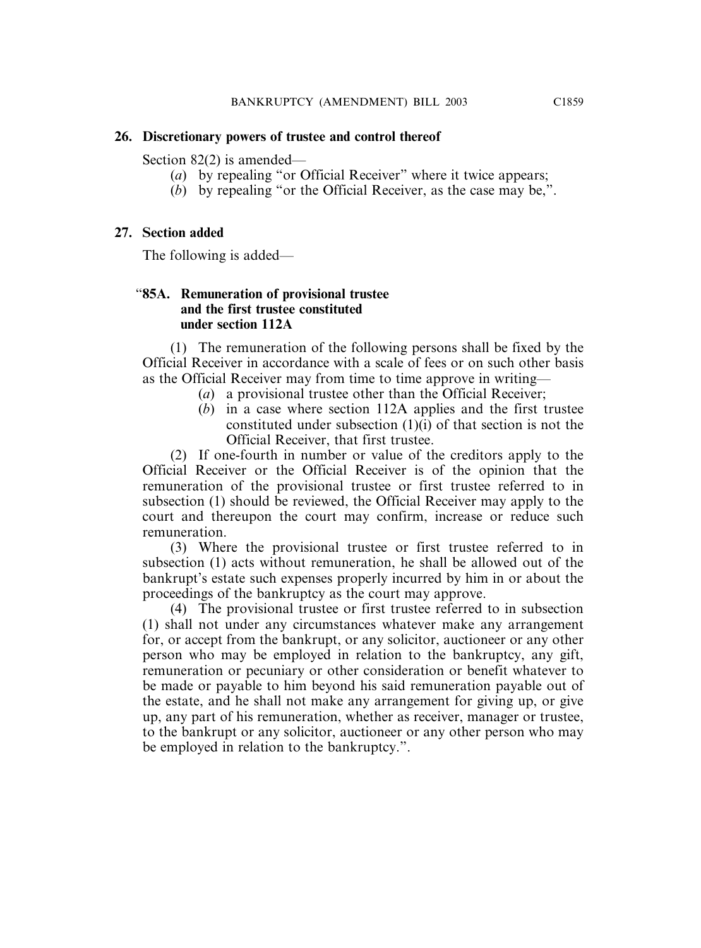#### **26. Discretionary powers of trustee and control thereof**

Section 82(2) is amended—

- (*a*) by repealing "or Official Receiver" where it twice appears;
- (*b*) by repealing "or the Official Receiver, as the case may be,".

# **27. Section added**

The following is added—

# "**85A. Remuneration of provisional trustee and the first trustee constituted under section 112A**

(1) The remuneration of the following persons shall be fixed by the Official Receiver in accordance with a scale of fees or on such other basis as the Official Receiver may from time to time approve in writing—

- (*a*) a provisional trustee other than the Official Receiver;
- (*b*) in a case where section 112A applies and the first trustee constituted under subsection (1)(i) of that section is not the Official Receiver, that first trustee.

(2) If one-fourth in number or value of the creditors apply to the Official Receiver or the Official Receiver is of the opinion that the remuneration of the provisional trustee or first trustee referred to in subsection (1) should be reviewed, the Official Receiver may apply to the court and thereupon the court may confirm, increase or reduce such remuneration.

(3) Where the provisional trustee or first trustee referred to in subsection (1) acts without remuneration, he shall be allowed out of the bankrupt's estate such expenses properly incurred by him in or about the proceedings of the bankruptcy as the court may approve.

(4) The provisional trustee or first trustee referred to in subsection (1) shall not under any circumstances whatever make any arrangement for, or accept from the bankrupt, or any solicitor, auctioneer or any other person who may be employed in relation to the bankruptcy, any gift, remuneration or pecuniary or other consideration or benefit whatever to be made or payable to him beyond his said remuneration payable out of the estate, and he shall not make any arrangement for giving up, or give up, any part of his remuneration, whether as receiver, manager or trustee, to the bankrupt or any solicitor, auctioneer or any other person who may be employed in relation to the bankruptcy.".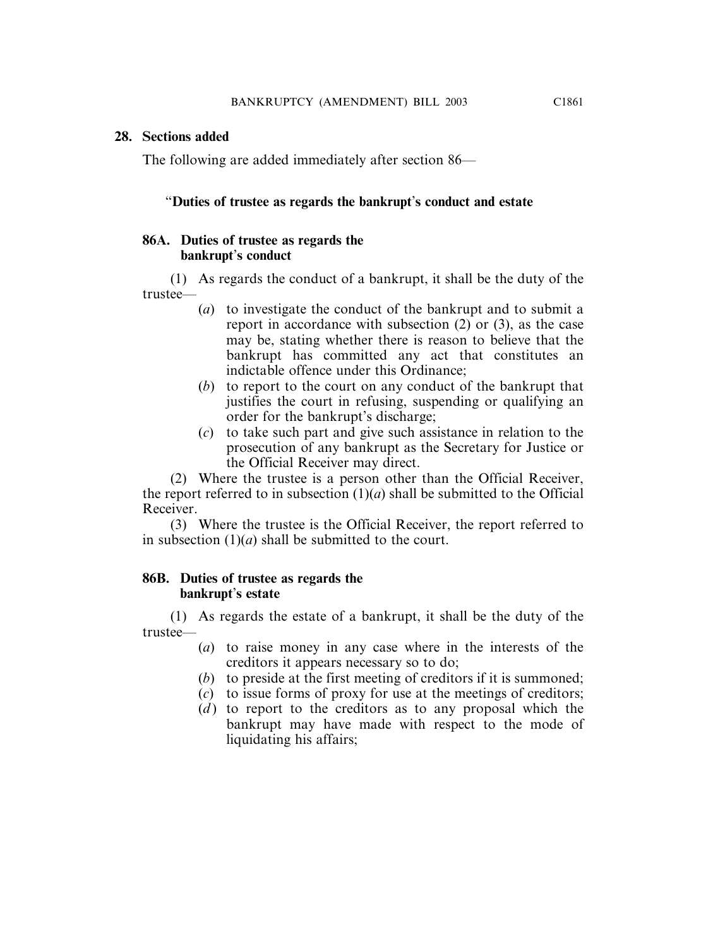#### **28. Sections added**

The following are added immediately after section 86—

#### "**Duties of trustee as regards the bankrupt**'**s conduct and estate**

# **86A. Duties of trustee as regards the bankrupt**'**s conduct**

(1) As regards the conduct of a bankrupt, it shall be the duty of the trustee—

- (*a*) to investigate the conduct of the bankrupt and to submit a report in accordance with subsection (2) or (3), as the case may be, stating whether there is reason to believe that the bankrupt has committed any act that constitutes an indictable offence under this Ordinance;
- (*b*) to report to the court on any conduct of the bankrupt that justifies the court in refusing, suspending or qualifying an order for the bankrupt's discharge;
- (*c*) to take such part and give such assistance in relation to the prosecution of any bankrupt as the Secretary for Justice or the Official Receiver may direct.

(2) Where the trustee is a person other than the Official Receiver, the report referred to in subsection  $(1)(a)$  shall be submitted to the Official Receiver.

(3) Where the trustee is the Official Receiver, the report referred to in subsection (1)(*a*) shall be submitted to the court.

#### **86B. Duties of trustee as regards the bankrupt**'**s estate**

(1) As regards the estate of a bankrupt, it shall be the duty of the trustee—

- (*a*) to raise money in any case where in the interests of the creditors it appears necessary so to do;
- (*b*) to preside at the first meeting of creditors if it is summoned;
- (*c*) to issue forms of proxy for use at the meetings of creditors;
- $(d)$  to report to the creditors as to any proposal which the bankrupt may have made with respect to the mode of liquidating his affairs;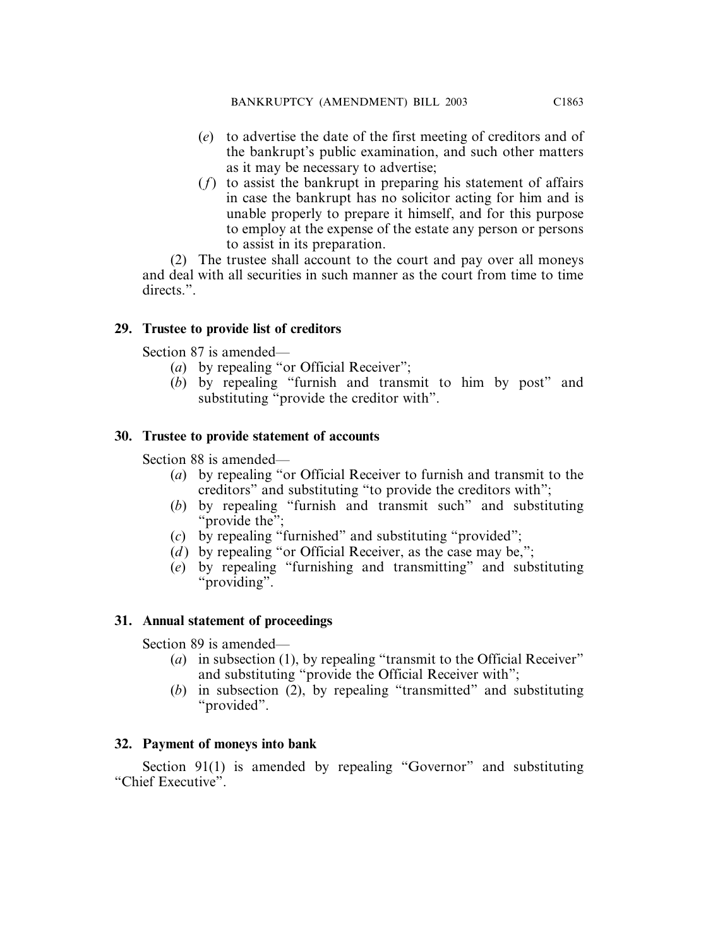- (*e*) to advertise the date of the first meeting of creditors and of the bankrupt's public examination, and such other matters as it may be necessary to advertise;
- (*f*) to assist the bankrupt in preparing his statement of affairs in case the bankrupt has no solicitor acting for him and is unable properly to prepare it himself, and for this purpose to employ at the expense of the estate any person or persons to assist in its preparation.

(2) The trustee shall account to the court and pay over all moneys and deal with all securities in such manner as the court from time to time directs<sup>"</sup>

# **29. Trustee to provide list of creditors**

Section 87 is amended—

- (*a*) by repealing "or Official Receiver";
- (*b*) by repealing "furnish and transmit to him by post" and substituting "provide the creditor with".

# **30. Trustee to provide statement of accounts**

Section 88 is amended—

- (*a*) by repealing "or Official Receiver to furnish and transmit to the creditors" and substituting "to provide the creditors with";
- (*b*) by repealing "furnish and transmit such" and substituting "provide the":
- (*c*) by repealing "furnished" and substituting "provided";
- (*d*) by repealing "or Official Receiver, as the case may be,";
- (*e*) by repealing "furnishing and transmitting" and substituting "providing".

# **31. Annual statement of proceedings**

Section 89 is amended—

- (*a*) in subsection (1), by repealing "transmit to the Official Receiver" and substituting "provide the Official Receiver with";
- (b) in subsection  $(2)$ , by repealing "transmitted" and substituting "provided".

# **32. Payment of moneys into bank**

Section 91(1) is amended by repealing "Governor" and substituting "Chief Executive".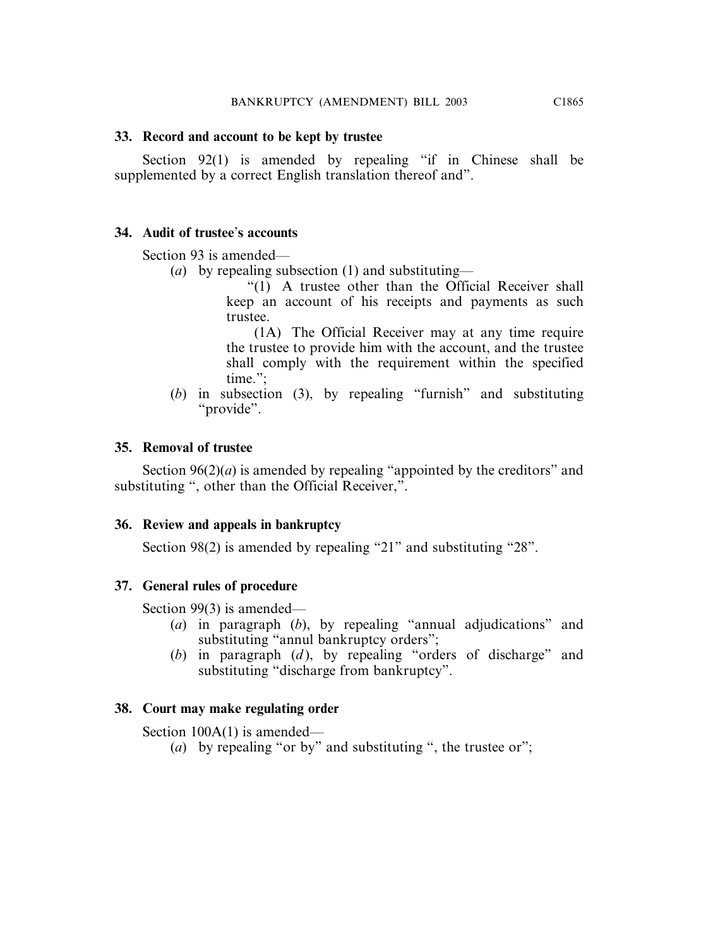# **33. Record and account to be kept by trustee**

Section 92(1) is amended by repealing "if in Chinese shall be supplemented by a correct English translation thereof and".

# **34. Audit of trustee**'**s accounts**

Section 93 is amended—

(*a*) by repealing subsection (1) and substituting—

"(1) A trustee other than the Official Receiver shall keep an account of his receipts and payments as such trustee.

(1A) The Official Receiver may at any time require the trustee to provide him with the account, and the trustee shall comply with the requirement within the specified time.";

(*b*) in subsection (3), by repealing "furnish" and substituting "provide".

# **35. Removal of trustee**

Section  $96(2)(a)$  is amended by repealing "appointed by the creditors" and substituting ", other than the Official Receiver,".

# **36. Review and appeals in bankruptcy**

Section 98(2) is amended by repealing "21" and substituting "28".

# **37. General rules of procedure**

Section 99(3) is amended—

- (*a*) in paragraph (*b*), by repealing "annual adjudications" and substituting "annul bankruptcy orders";
- (*b*) in paragraph (*d* ), by repealing "orders of discharge" and substituting "discharge from bankruptcy".

# **38. Court may make regulating order**

Section 100A(1) is amended—

(*a*) by repealing "or by" and substituting ", the trustee or";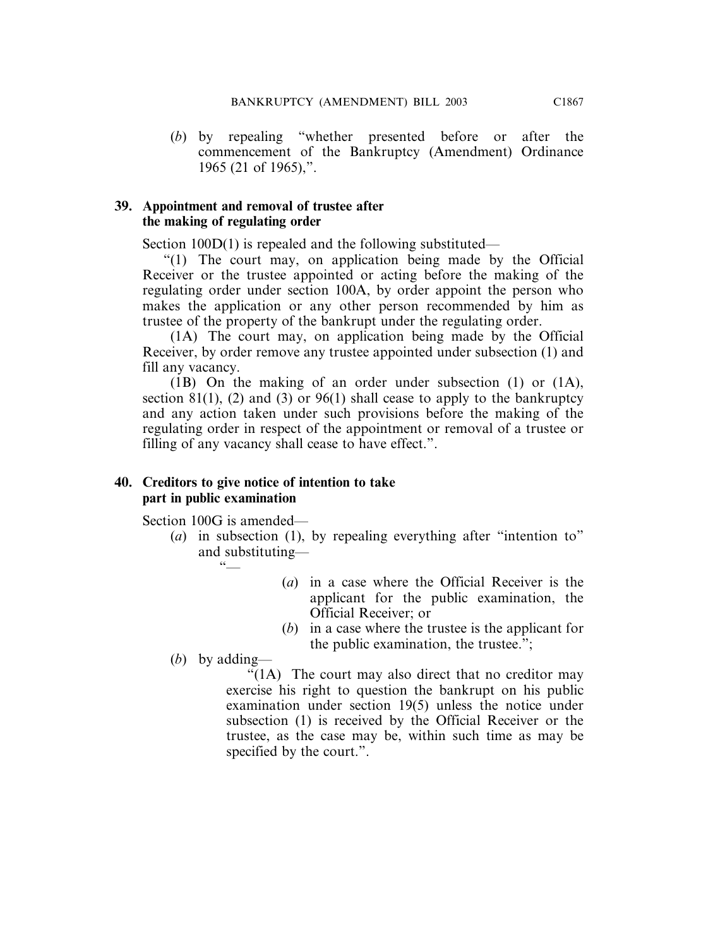(*b*) by repealing "whether presented before or after the commencement of the Bankruptcy (Amendment) Ordinance 1965 (21 of 1965),".

#### **39. Appointment and removal of trustee after the making of regulating order**

Section 100D(1) is repealed and the following substituted—

"(1) The court may, on application being made by the Official Receiver or the trustee appointed or acting before the making of the regulating order under section 100A, by order appoint the person who makes the application or any other person recommended by him as trustee of the property of the bankrupt under the regulating order.

(1A) The court may, on application being made by the Official Receiver, by order remove any trustee appointed under subsection (1) and fill any vacancy.

(1B) On the making of an order under subsection (1) or (1A), section 81(1), (2) and (3) or 96(1) shall cease to apply to the bankruptcy and any action taken under such provisions before the making of the regulating order in respect of the appointment or removal of a trustee or filling of any vacancy shall cease to have effect.".

#### **40. Creditors to give notice of intention to take part in public examination**

Section 100G is amended—

- (*a*) in subsection (1), by repealing everything after "intention to" and substituting—  $66$ 
	- (*a*) in a case where the Official Receiver is the applicant for the public examination, the Official Receiver; or
	- (*b*) in a case where the trustee is the applicant for the public examination, the trustee.";

(*b*) by adding—

"(1A) The court may also direct that no creditor may exercise his right to question the bankrupt on his public examination under section 19(5) unless the notice under subsection (1) is received by the Official Receiver or the trustee, as the case may be, within such time as may be specified by the court.".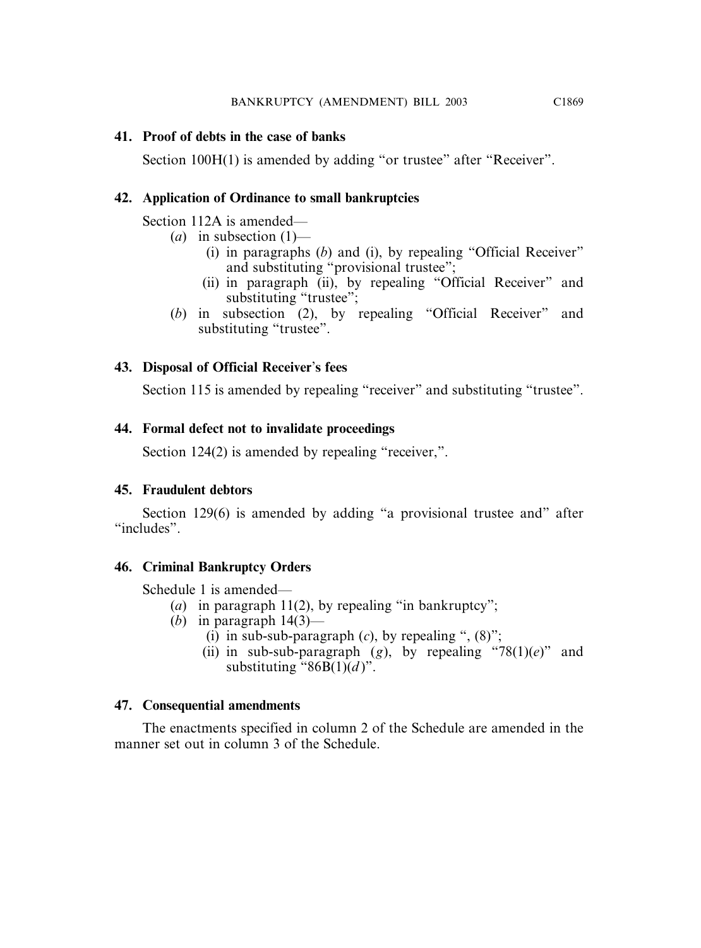# **41. Proof of debts in the case of banks**

Section 100H(1) is amended by adding "or trustee" after "Receiver".

# **42. Application of Ordinance to small bankruptcies**

Section 112A is amended—

- (*a*) in subsection (1)—
	- (i) in paragraphs (*b*) and (i), by repealing "Official Receiver" and substituting "provisional trustee";
	- (ii) in paragraph (ii), by repealing "Official Receiver" and substituting "trustee";
- (*b*) in subsection (2), by repealing "Official Receiver" and substituting "trustee".

# **43. Disposal of Official Receiver**'**s fees**

Section 115 is amended by repealing "receiver" and substituting "trustee".

# **44. Formal defect not to invalidate proceedings**

Section 124(2) is amended by repealing "receiver,".

# **45. Fraudulent debtors**

Section 129(6) is amended by adding "a provisional trustee and" after "includes".

# **46. Criminal Bankruptcy Orders**

Schedule 1 is amended—

- (*a*) in paragraph 11(2), by repealing "in bankruptcy";
- (*b*) in paragraph  $14(3)$ 
	- (i) in sub-sub-paragraph  $(c)$ , by repealing ",  $(8)$ ";
	- (ii) in sub-sub-paragraph (*g*), by repealing "78(1)(*e*)" and substituting " $86B(1)(d)$ ".

# **47. Consequential amendments**

The enactments specified in column 2 of the Schedule are amended in the manner set out in column 3 of the Schedule.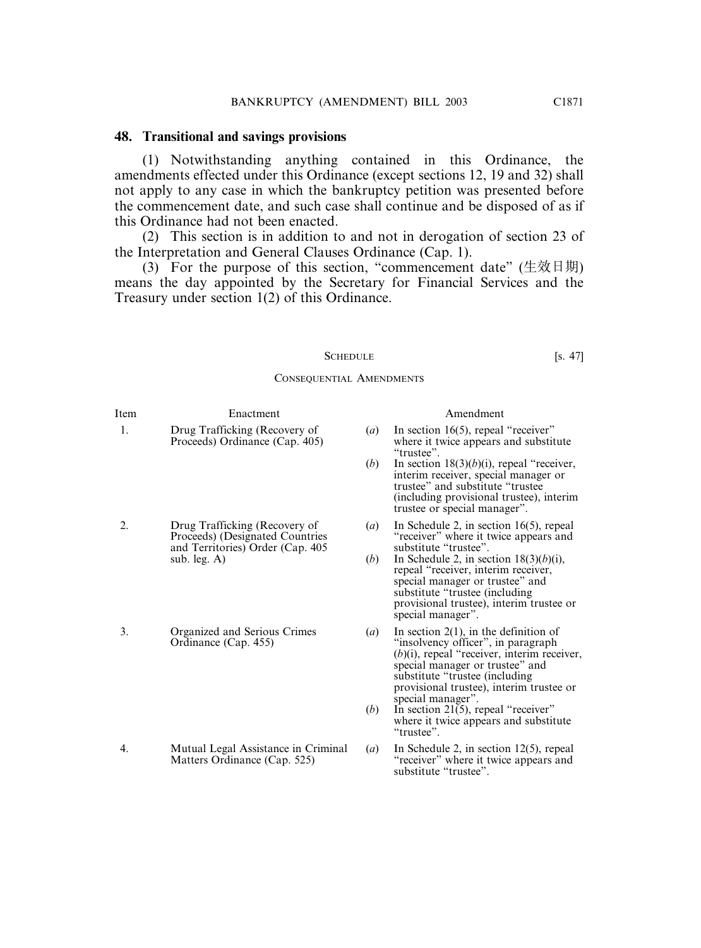#### **48. Transitional and savings provisions**

(1) Notwithstanding anything contained in this Ordinance, the amendments effected under this Ordinance (except sections 12, 19 and 32) shall not apply to any case in which the bankruptcy petition was presented before the commencement date, and such case shall continue and be disposed of as if this Ordinance had not been enacted.

(2) This section is in addition to and not in derogation of section 23 of the Interpretation and General Clauses Ordinance (Cap. 1).

(3) For the purpose of this section, "commencement date" (生效日期) means the day appointed by the Secretary for Financial Services and the Treasury under section 1(2) of this Ordinance.

#### SCHEDULE [s. 47]

CONSEQUENTIAL AMENDMENTS

| Item | Enactment                                                       |
|------|-----------------------------------------------------------------|
|      | Drug Trafficking (Recovery of<br>Proceeds) Ordinance (Cap. 405) |

- and Territories) Order (Cap. 405 sub. leg. A)  $(h)$
- 3. Organized and Serious Crimes (*a*) In section 2(1), in the definition of

4. Mutual Legal Assistance in Criminal (*a*) In Schedule 2, in section 12(5), repeal Matters Ordinance (Cap. 525) "receiver" where it twice appears and

#### Amendment

- $(a)$  In section 16(5), repeal "receiver"  $p_{\text{o}}$  oceeds) Ordinance (Cap. 405) where it twice appears and substitute "trustee".
	- (*b*) In section 18(3)(*b*)(i), repeal "receiver, interim receiver, special manager or trustee" and substitute "trustee (including provisional trustee), interim trustee or special manager".
- 2. Drug Trafficking (Recovery of (*a*) In Schedule 2, in section 16(5), repeal Proceeds) (Designated Countries "receiver" where it twice appears and "receiver" where it twice appears and<br>substitute "trustee".
	- In Schedule 2, in section  $18(3)(b)(i)$ , repeal "receiver, interim receiver, special manager or trustee" and substitute "trustee (including provisional trustee), interim trustee or special manager".
	- Ordinance (Cap. 455) "insolvency officer", in paragraph (*b*)(i), repeal "receiver, interim receiver, special manager or trustee" and substitute "trustee (including provisional trustee), interim trustee or special manager".
		- (*b*) In section 21(5), repeal "receiver" where it twice appears and substitute "trustee".
	- Matters Ordinance (Cap. 525) "receiver" where it twice appears and substitute "trustee".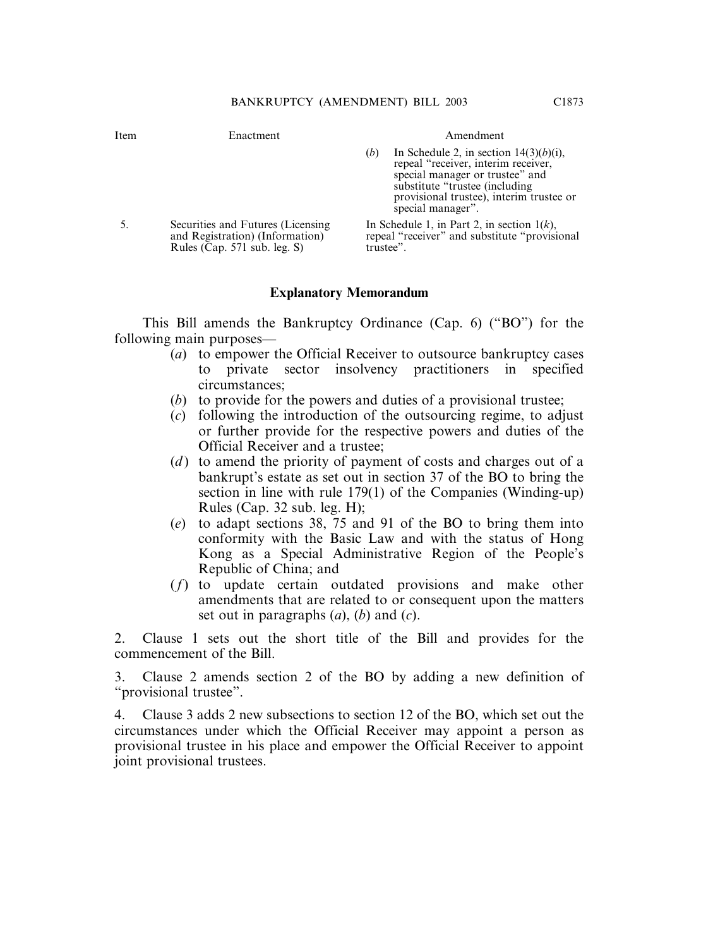| Item | Enactment                                                                                             | Amendment                                                                                                                                                                                                                     |
|------|-------------------------------------------------------------------------------------------------------|-------------------------------------------------------------------------------------------------------------------------------------------------------------------------------------------------------------------------------|
|      |                                                                                                       | In Schedule 2, in section $14(3)(b)(i)$ ,<br>(b)<br>repeal "receiver, interim receiver,<br>special manager or trustee" and<br>substitute "trustee (including<br>provisional trustee), interim trustee or<br>special manager". |
|      | Securities and Futures (Licensing)<br>and Registration) (Information)<br>Rules (Cap. 571 sub. leg. S) | In Schedule 1, in Part 2, in section $1(k)$ ,<br>repeal "receiver" and substitute "provisional"<br>trustee".                                                                                                                  |

#### **Explanatory Memorandum**

This Bill amends the Bankruptcy Ordinance (Cap. 6) ("BO") for the following main purposes—

- (*a*) to empower the Official Receiver to outsource bankruptcy cases to private sector insolvency practitioners in specified circumstances;
- (*b*) to provide for the powers and duties of a provisional trustee;
- (*c*) following the introduction of the outsourcing regime, to adjust or further provide for the respective powers and duties of the Official Receiver and a trustee;
- (*d* ) to amend the priority of payment of costs and charges out of a bankrupt's estate as set out in section 37 of the BO to bring the section in line with rule 179(1) of the Companies (Winding-up) Rules (Cap. 32 sub. leg. H);
- (*e*) to adapt sections 38, 75 and 91 of the BO to bring them into conformity with the Basic Law and with the status of Hong Kong as a Special Administrative Region of the People's Republic of China; and
- (*f*) to update certain outdated provisions and make other amendments that are related to or consequent upon the matters set out in paragraphs (*a*), (*b*) and (*c*).

2. Clause 1 sets out the short title of the Bill and provides for the commencement of the Bill.

3. Clause 2 amends section 2 of the BO by adding a new definition of "provisional trustee".

4. Clause 3 adds 2 new subsections to section 12 of the BO, which set out the circumstances under which the Official Receiver may appoint a person as provisional trustee in his place and empower the Official Receiver to appoint joint provisional trustees.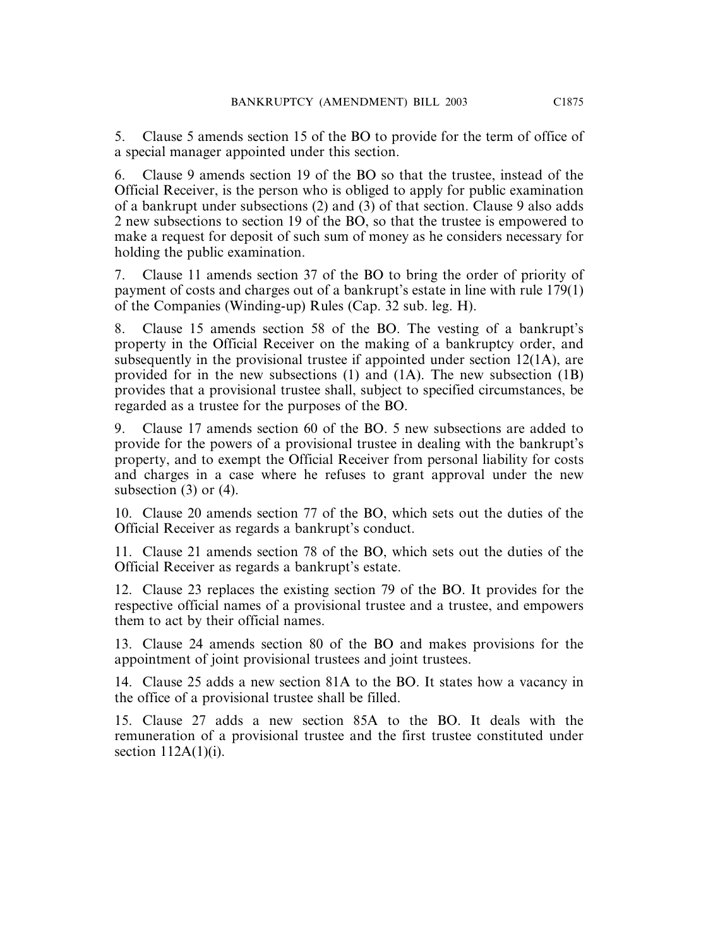5. Clause 5 amends section 15 of the BO to provide for the term of office of a special manager appointed under this section.

6. Clause 9 amends section 19 of the BO so that the trustee, instead of the Official Receiver, is the person who is obliged to apply for public examination of a bankrupt under subsections (2) and (3) of that section. Clause 9 also adds 2 new subsections to section 19 of the BO, so that the trustee is empowered to make a request for deposit of such sum of money as he considers necessary for holding the public examination.

7. Clause 11 amends section 37 of the BO to bring the order of priority of payment of costs and charges out of a bankrupt's estate in line with rule 179(1) of the Companies (Winding-up) Rules (Cap. 32 sub. leg. H).

8. Clause 15 amends section 58 of the BO. The vesting of a bankrupt's property in the Official Receiver on the making of a bankruptcy order, and subsequently in the provisional trustee if appointed under section 12(1A), are provided for in the new subsections (1) and (1A). The new subsection (1B) provides that a provisional trustee shall, subject to specified circumstances, be regarded as a trustee for the purposes of the BO.

9. Clause 17 amends section 60 of the BO. 5 new subsections are added to provide for the powers of a provisional trustee in dealing with the bankrupt's property, and to exempt the Official Receiver from personal liability for costs and charges in a case where he refuses to grant approval under the new subsection (3) or (4).

10. Clause 20 amends section 77 of the BO, which sets out the duties of the Official Receiver as regards a bankrupt's conduct.

11. Clause 21 amends section 78 of the BO, which sets out the duties of the Official Receiver as regards a bankrupt's estate.

12. Clause 23 replaces the existing section 79 of the BO. It provides for the respective official names of a provisional trustee and a trustee, and empowers them to act by their official names.

13. Clause 24 amends section 80 of the BO and makes provisions for the appointment of joint provisional trustees and joint trustees.

14. Clause 25 adds a new section 81A to the BO. It states how a vacancy in the office of a provisional trustee shall be filled.

15. Clause 27 adds a new section 85A to the BO. It deals with the remuneration of a provisional trustee and the first trustee constituted under section  $112A(1)(i)$ .